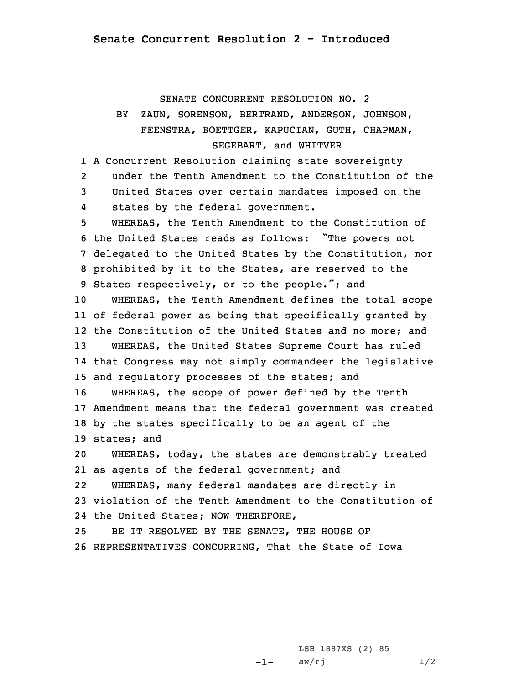## SENATE CONCURRENT RESOLUTION NO. 2

## BY ZAUN, SORENSON, BERTRAND, ANDERSON, JOHNSON, FEENSTRA, BOETTGER, KAPUCIAN, GUTH, CHAPMAN, SEGEBART, and WHITVER

 <sup>A</sup> Concurrent Resolution claiming state sovereignty 2 under the Tenth Amendment to the Constitution of the United States over certain mandates imposed on the 4 states by the federal government. WHEREAS, the Tenth Amendment to the Constitution of the United States reads as follows: "The powers not delegated to the United States by the Constitution, nor prohibited by it to the States, are reserved to the States respectively, or to the people."; and WHEREAS, the Tenth Amendment defines the total scope of federal power as being that specifically granted by the Constitution of the United States and no more; and WHEREAS, the United States Supreme Court has ruled that Congress may not simply commandeer the legislative and regulatory processes of the states; and WHEREAS, the scope of power defined by the Tenth Amendment means that the federal government was created by the states specifically to be an agent of the states; and WHEREAS, today, the states are demonstrably treated as agents of the federal government; and 22WHEREAS, many federal mandates are directly in

23 violation of the Tenth Amendment to the Constitution of 24 the United States; NOW THEREFORE,

25 BE IT RESOLVED BY THE SENATE, THE HOUSE OF 26 REPRESENTATIVES CONCURRING, That the State of Iowa

> -1-LSB 1887XS (2) 85  $aw/rj$  1/2